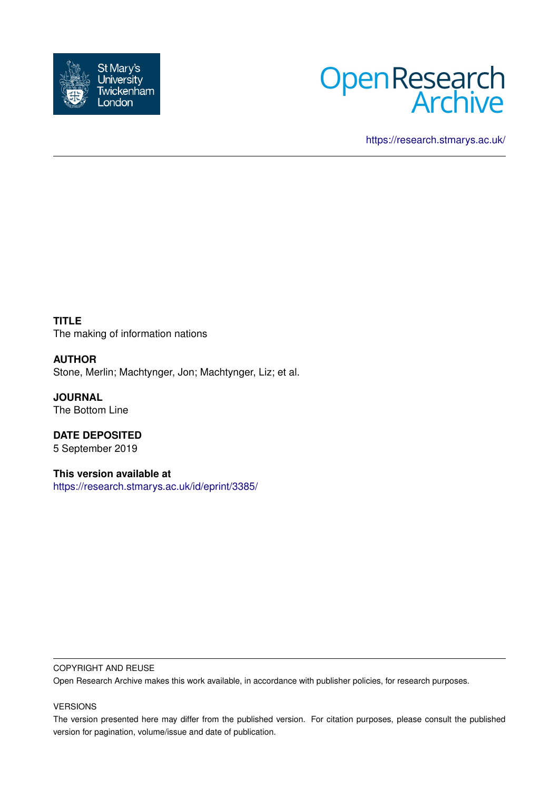



<https://research.stmarys.ac.uk/>

**TITLE** The making of information nations

**AUTHOR** Stone, Merlin; Machtynger, Jon; Machtynger, Liz; et al.

**JOURNAL** The Bottom Line

**DATE DEPOSITED** 5 September 2019

**This version available at** <https://research.stmarys.ac.uk/id/eprint/3385/>

#### COPYRIGHT AND REUSE

Open Research Archive makes this work available, in accordance with publisher policies, for research purposes.

#### VERSIONS

The version presented here may differ from the published version. For citation purposes, please consult the published version for pagination, volume/issue and date of publication.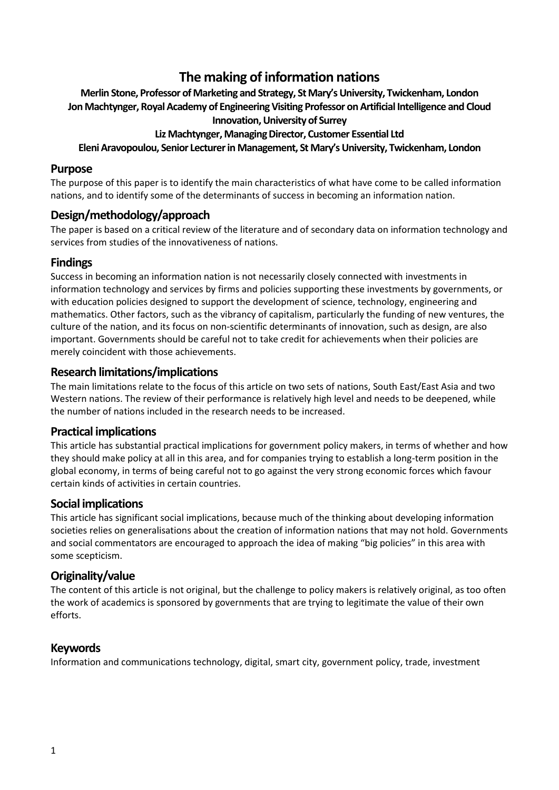# **The making of information nations**

### **Merlin Stone, Professor of Marketing and Strategy, St Mary's University, Twickenham, London Jon Machtynger, Royal Academy of Engineering Visiting Professor on Artificial Intelligence and Cloud Innovation, University of Surrey**

### **Liz Machtynger, Managing Director, Customer Essential Ltd**

### **Eleni Aravopoulou, Senior Lecturer in Management, St Mary's University, Twickenham, London**

### **Purpose**

The purpose of this paper is to identify the main characteristics of what have come to be called information nations, and to identify some of the determinants of success in becoming an information nation.

## **Design/methodology/approach**

The paper is based on a critical review of the literature and of secondary data on information technology and services from studies of the innovativeness of nations.

### **Findings**

Success in becoming an information nation is not necessarily closely connected with investments in information technology and services by firms and policies supporting these investments by governments, or with education policies designed to support the development of science, technology, engineering and mathematics. Other factors, such as the vibrancy of capitalism, particularly the funding of new ventures, the culture of the nation, and its focus on non-scientific determinants of innovation, such as design, are also important. Governments should be careful not to take credit for achievements when their policies are merely coincident with those achievements.

## **Research limitations/implications**

The main limitations relate to the focus of this article on two sets of nations, South East/East Asia and two Western nations. The review of their performance is relatively high level and needs to be deepened, while the number of nations included in the research needs to be increased.

#### **Practical implications**

This article has substantial practical implications for government policy makers, in terms of whether and how they should make policy at all in this area, and for companies trying to establish a long-term position in the global economy, in terms of being careful not to go against the very strong economic forces which favour certain kinds of activities in certain countries.

#### **Social implications**

This article has significant social implications, because much of the thinking about developing information societies relies on generalisations about the creation of information nations that may not hold. Governments and social commentators are encouraged to approach the idea of making "big policies" in this area with some scepticism.

### **Originality/value**

The content of this article is not original, but the challenge to policy makers is relatively original, as too often the work of academics is sponsored by governments that are trying to legitimate the value of their own efforts.

## **Keywords**

Information and communications technology, digital, smart city, government policy, trade, investment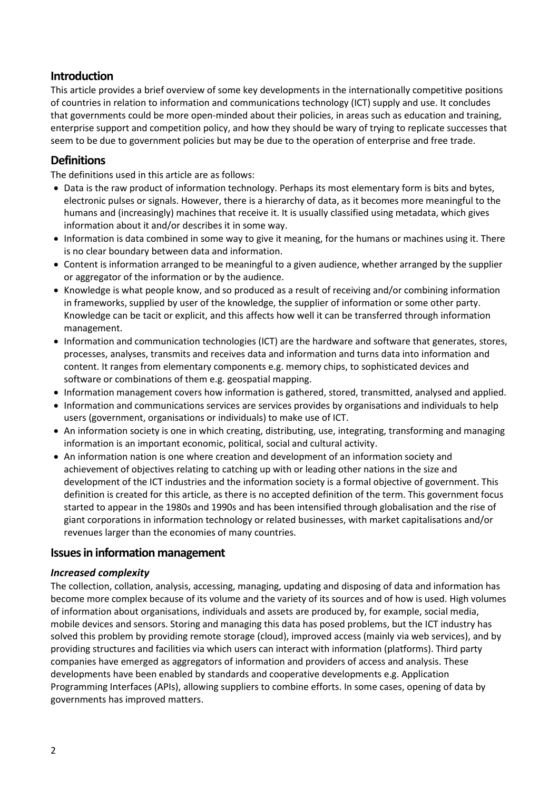## **Introduction**

This article provides a brief overview of some key developments in the internationally competitive positions of countries in relation to information and communications technology (ICT) supply and use. It concludes that governments could be more open-minded about their policies, in areas such as education and training, enterprise support and competition policy, and how they should be wary of trying to replicate successes that seem to be due to government policies but may be due to the operation of enterprise and free trade.

## **Definitions**

The definitions used in this article are as follows:

- Data is the raw product of information technology. Perhaps its most elementary form is bits and bytes, electronic pulses or signals. However, there is a hierarchy of data, as it becomes more meaningful to the humans and (increasingly) machines that receive it. It is usually classified using metadata, which gives information about it and/or describes it in some way.
- Information is data combined in some way to give it meaning, for the humans or machines using it. There is no clear boundary between data and information.
- Content is information arranged to be meaningful to a given audience, whether arranged by the supplier or aggregator of the information or by the audience.
- Knowledge is what people know, and so produced as a result of receiving and/or combining information in frameworks, supplied by user of the knowledge, the supplier of information or some other party. Knowledge can be tacit or explicit, and this affects how well it can be transferred through information management.
- Information and communication technologies (ICT) are the hardware and software that generates, stores, processes, analyses, transmits and receives data and information and turns data into information and content. It ranges from elementary components e.g. memory chips, to sophisticated devices and software or combinations of them e.g. geospatial mapping.
- Information management covers how information is gathered, stored, transmitted, analysed and applied.
- Information and communications services are services provides by organisations and individuals to help users (government, organisations or individuals) to make use of ICT.
- An information society is one in which creating, distributing, use, integrating, transforming and managing information is an important economic, political, social and cultural activity.
- An information nation is one where creation and development of an information society and achievement of objectives relating to catching up with or leading other nations in the size and development of the ICT industries and the information society is a formal objective of government. This definition is created for this article, as there is no accepted definition of the term. This government focus started to appear in the 1980s and 1990s and has been intensified through globalisation and the rise of giant corporations in information technology or related businesses, with market capitalisations and/or revenues larger than the economies of many countries.

## **Issues in information management**

#### *Increased complexity*

The collection, collation, analysis, accessing, managing, updating and disposing of data and information has become more complex because of its volume and the variety of its sources and of how is used. High volumes of information about organisations, individuals and assets are produced by, for example, social media, mobile devices and sensors. Storing and managing this data has posed problems, but the ICT industry has solved this problem by providing remote storage (cloud), improved access (mainly via web services), and by providing structures and facilities via which users can interact with information (platforms). Third party companies have emerged as aggregators of information and providers of access and analysis. These developments have been enabled by standards and cooperative developments e.g. Application Programming Interfaces (APIs), allowing suppliers to combine efforts. In some cases, opening of data by governments has improved matters.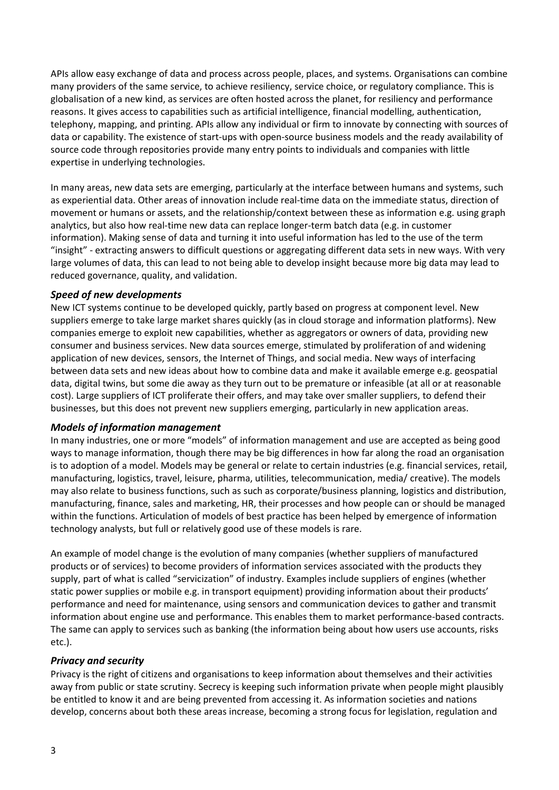APIs allow easy exchange of data and process across people, places, and systems. Organisations can combine many providers of the same service, to achieve resiliency, service choice, or regulatory compliance. This is globalisation of a new kind, as services are often hosted across the planet, for resiliency and performance reasons. It gives access to capabilities such as artificial intelligence, financial modelling, authentication, telephony, mapping, and printing. APIs allow any individual or firm to innovate by connecting with sources of data or capability. The existence of start-ups with open-source business models and the ready availability of source code through repositories provide many entry points to individuals and companies with little expertise in underlying technologies.

In many areas, new data sets are emerging, particularly at the interface between humans and systems, such as experiential data. Other areas of innovation include real-time data on the immediate status, direction of movement or humans or assets, and the relationship/context between these as information e.g. using graph analytics, but also how real-time new data can replace longer-term batch data (e.g. in customer information). Making sense of data and turning it into useful information has led to the use of the term "insight" - extracting answers to difficult questions or aggregating different data sets in new ways. With very large volumes of data, this can lead to not being able to develop insight because more big data may lead to reduced governance, quality, and validation.

#### *Speed of new developments*

New ICT systems continue to be developed quickly, partly based on progress at component level. New suppliers emerge to take large market shares quickly (as in cloud storage and information platforms). New companies emerge to exploit new capabilities, whether as aggregators or owners of data, providing new consumer and business services. New data sources emerge, stimulated by proliferation of and widening application of new devices, sensors, the Internet of Things, and social media. New ways of interfacing between data sets and new ideas about how to combine data and make it available emerge e.g. geospatial data, digital twins, but some die away as they turn out to be premature or infeasible (at all or at reasonable cost). Large suppliers of ICT proliferate their offers, and may take over smaller suppliers, to defend their businesses, but this does not prevent new suppliers emerging, particularly in new application areas.

#### *Models of information management*

In many industries, one or more "models" of information management and use are accepted as being good ways to manage information, though there may be big differences in how far along the road an organisation is to adoption of a model. Models may be general or relate to certain industries (e.g. financial services, retail, manufacturing, logistics, travel, leisure, pharma, utilities, telecommunication, media/ creative). The models may also relate to business functions, such as such as corporate/business planning, logistics and distribution, manufacturing, finance, sales and marketing, HR, their processes and how people can or should be managed within the functions. Articulation of models of best practice has been helped by emergence of information technology analysts, but full or relatively good use of these models is rare.

An example of model change is the evolution of many companies (whether suppliers of manufactured products or of services) to become providers of information services associated with the products they supply, part of what is called "servicization" of industry. Examples include suppliers of engines (whether static power supplies or mobile e.g. in transport equipment) providing information about their products' performance and need for maintenance, using sensors and communication devices to gather and transmit information about engine use and performance. This enables them to market performance-based contracts. The same can apply to services such as banking (the information being about how users use accounts, risks etc.).

#### *Privacy and security*

Privacy is the right of citizens and organisations to keep information about themselves and their activities away from public or state scrutiny. Secrecy is keeping such information private when people might plausibly be entitled to know it and are being prevented from accessing it. As information societies and nations develop, concerns about both these areas increase, becoming a strong focus for legislation, regulation and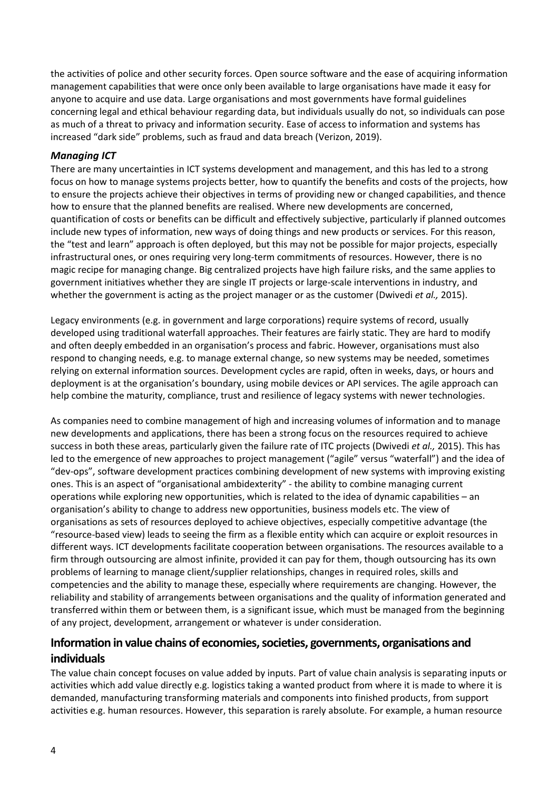the activities of police and other security forces. Open source software and the ease of acquiring information management capabilities that were once only been available to large organisations have made it easy for anyone to acquire and use data. Large organisations and most governments have formal guidelines concerning legal and ethical behaviour regarding data, but individuals usually do not, so individuals can pose as much of a threat to privacy and information security. Ease of access to information and systems has increased "dark side" problems, such as fraud and data breach (Verizon, 2019).

### *Managing ICT*

There are many uncertainties in ICT systems development and management, and this has led to a strong focus on how to manage systems projects better, how to quantify the benefits and costs of the projects, how to ensure the projects achieve their objectives in terms of providing new or changed capabilities, and thence how to ensure that the planned benefits are realised. Where new developments are concerned, quantification of costs or benefits can be difficult and effectively subjective, particularly if planned outcomes include new types of information, new ways of doing things and new products or services. For this reason, the "test and learn" approach is often deployed, but this may not be possible for major projects, especially infrastructural ones, or ones requiring very long-term commitments of resources. However, there is no magic recipe for managing change. Big centralized projects have high failure risks, and the same applies to government initiatives whether they are single IT projects or large-scale interventions in industry, and whether the government is acting as the project manager or as the customer (Dwivedi *et al.,* 2015).

Legacy environments (e.g. in government and large corporations) require systems of record, usually developed using traditional waterfall approaches. Their features are fairly static. They are hard to modify and often deeply embedded in an organisation's process and fabric. However, organisations must also respond to changing needs, e.g. to manage external change, so new systems may be needed, sometimes relying on external information sources. Development cycles are rapid, often in weeks, days, or hours and deployment is at the organisation's boundary, using mobile devices or API services. The agile approach can help combine the maturity, compliance, trust and resilience of legacy systems with newer technologies.

As companies need to combine management of high and increasing volumes of information and to manage new developments and applications, there has been a strong focus on the resources required to achieve success in both these areas, particularly given the failure rate of ITC projects (Dwivedi *et al.,* 2015). This has led to the emergence of new approaches to project management ("agile" versus "waterfall") and the idea of "dev-ops", software development practices combining development of new systems with improving existing ones. This is an aspect of "organisational ambidexterity" - the ability to combine managing current operations while exploring new opportunities, which is related to the idea of dynamic capabilities – an organisation's ability to change to address new opportunities, business models etc. The view of organisations as sets of resources deployed to achieve objectives, especially competitive advantage (the "resource-based view) leads to seeing the firm as a flexible entity which can acquire or exploit resources in different ways. ICT developments facilitate cooperation between organisations. The resources available to a firm through outsourcing are almost infinite, provided it can pay for them, though outsourcing has its own problems of learning to manage client/supplier relationships, changes in required roles, skills and competencies and the ability to manage these, especially where requirements are changing. However, the reliability and stability of arrangements between organisations and the quality of information generated and transferred within them or between them, is a significant issue, which must be managed from the beginning of any project, development, arrangement or whatever is under consideration.

## **Information in value chains of economies, societies, governments, organisations and individuals**

The value chain concept focuses on value added by inputs. Part of value chain analysis is separating inputs or activities which add value directly e.g. logistics taking a wanted product from where it is made to where it is demanded, manufacturing transforming materials and components into finished products, from support activities e.g. human resources. However, this separation is rarely absolute. For example, a human resource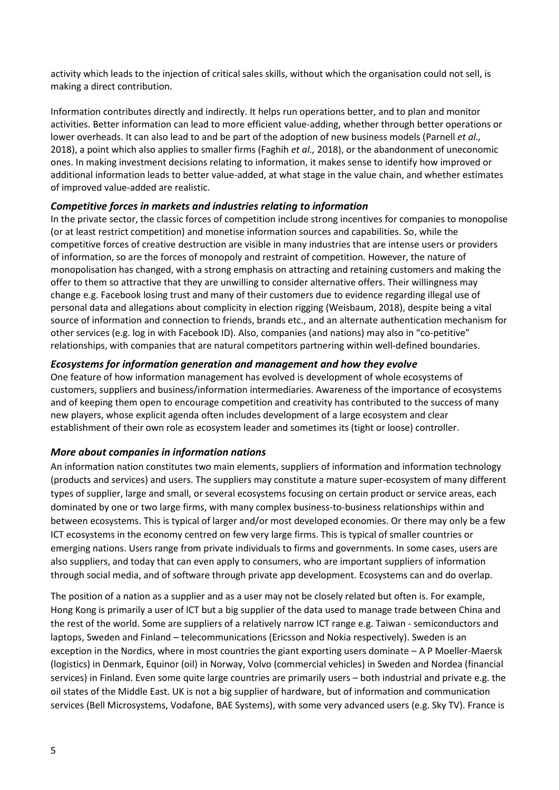activity which leads to the injection of critical sales skills, without which the organisation could not sell, is making a direct contribution.

Information contributes directly and indirectly. It helps run operations better, and to plan and monitor activities. Better information can lead to more efficient value-adding, whether through better operations or lower overheads. It can also lead to and be part of the adoption of new business models (Parnell *et al.,* 2018), a point which also applies to smaller firms (Faghih *et al.,* 2018), or the abandonment of uneconomic ones. In making investment decisions relating to information, it makes sense to identify how improved or additional information leads to better value-added, at what stage in the value chain, and whether estimates of improved value-added are realistic.

### *Competitive forces in markets and industries relating to information*

In the private sector, the classic forces of competition include strong incentives for companies to monopolise (or at least restrict competition) and monetise information sources and capabilities. So, while the competitive forces of creative destruction are visible in many industries that are intense users or providers of information, so are the forces of monopoly and restraint of competition. However, the nature of monopolisation has changed, with a strong emphasis on attracting and retaining customers and making the offer to them so attractive that they are unwilling to consider alternative offers. Their willingness may change e.g. Facebook losing trust and many of their customers due to evidence regarding illegal use of personal data and allegations about complicity in election rigging (Weisbaum, 2018), despite being a vital source of information and connection to friends, brands etc., and an alternate authentication mechanism for other services (e.g. log in with Facebook ID). Also, companies (and nations) may also in "co-petitive" relationships, with companies that are natural competitors partnering within well-defined boundaries.

### *Ecosystems for information generation and management and how they evolve*

One feature of how information management has evolved is development of whole ecosystems of customers, suppliers and business/information intermediaries. Awareness of the importance of ecosystems and of keeping them open to encourage competition and creativity has contributed to the success of many new players, whose explicit agenda often includes development of a large ecosystem and clear establishment of their own role as ecosystem leader and sometimes its (tight or loose) controller.

## *More about companies in information nations*

An information nation constitutes two main elements, suppliers of information and information technology (products and services) and users. The suppliers may constitute a mature super-ecosystem of many different types of supplier, large and small, or several ecosystems focusing on certain product or service areas, each dominated by one or two large firms, with many complex business-to-business relationships within and between ecosystems. This is typical of larger and/or most developed economies. Or there may only be a few ICT ecosystems in the economy centred on few very large firms. This is typical of smaller countries or emerging nations. Users range from private individuals to firms and governments. In some cases, users are also suppliers, and today that can even apply to consumers, who are important suppliers of information through social media, and of software through private app development. Ecosystems can and do overlap.

The position of a nation as a supplier and as a user may not be closely related but often is. For example, Hong Kong is primarily a user of ICT but a big supplier of the data used to manage trade between China and the rest of the world. Some are suppliers of a relatively narrow ICT range e.g. Taiwan - semiconductors and laptops, Sweden and Finland – telecommunications (Ericsson and Nokia respectively). Sweden is an exception in the Nordics, where in most countries the giant exporting users dominate – A P Moeller-Maersk (logistics) in Denmark, Equinor (oil) in Norway, Volvo (commercial vehicles) in Sweden and Nordea (financial services) in Finland. Even some quite large countries are primarily users – both industrial and private e.g. the oil states of the Middle East. UK is not a big supplier of hardware, but of information and communication services (Bell Microsystems, Vodafone, BAE Systems), with some very advanced users (e.g. Sky TV). France is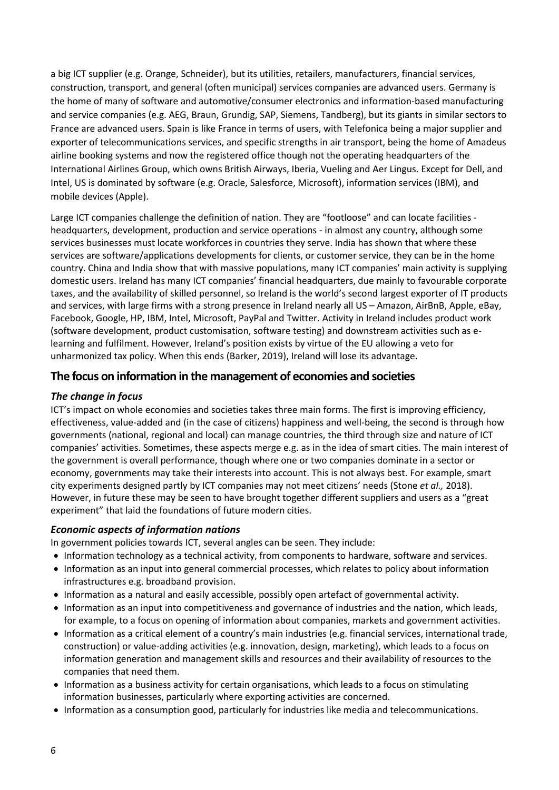a big ICT supplier (e.g. Orange, Schneider), but its utilities, retailers, manufacturers, financial services, construction, transport, and general (often municipal) services companies are advanced users. Germany is the home of many of software and automotive/consumer electronics and information-based manufacturing and service companies (e.g. AEG, Braun, Grundig, SAP, Siemens, Tandberg), but its giants in similar sectors to France are advanced users. Spain is like France in terms of users, with Telefonica being a major supplier and exporter of telecommunications services, and specific strengths in air transport, being the home of Amadeus airline booking systems and now the registered office though not the operating headquarters of the International Airlines Group, which owns British Airways, Iberia, Vueling and Aer Lingus. Except for Dell, and Intel, US is dominated by software (e.g. Oracle, Salesforce, Microsoft), information services (IBM), and mobile devices (Apple).

Large ICT companies challenge the definition of nation. They are "footloose" and can locate facilities headquarters, development, production and service operations - in almost any country, although some services businesses must locate workforces in countries they serve. India has shown that where these services are software/applications developments for clients, or customer service, they can be in the home country. China and India show that with massive populations, many ICT companies' main activity is supplying domestic users. Ireland has many ICT companies' financial headquarters, due mainly to favourable corporate taxes, and the availability of skilled personnel, so Ireland is the world's second largest exporter of IT products and services, with large firms with a strong presence in Ireland nearly all US – Amazon, AirBnB, Apple, eBay, Facebook, Google, HP, IBM, Intel, Microsoft, PayPal and Twitter. Activity in Ireland includes product work (software development, product customisation, software testing) and downstream activities such as elearning and fulfilment. However, Ireland's position exists by virtue of the EU allowing a veto for unharmonized tax policy. When this ends (Barker, 2019), Ireland will lose its advantage.

## **The focus on information in the management of economies and societies**

#### *The change in focus*

ICT's impact on whole economies and societies takes three main forms. The first is improving efficiency, effectiveness, value-added and (in the case of citizens) happiness and well-being, the second is through how governments (national, regional and local) can manage countries, the third through size and nature of ICT companies' activities. Sometimes, these aspects merge e.g. as in the idea of smart cities. The main interest of the government is overall performance, though where one or two companies dominate in a sector or economy, governments may take their interests into account. This is not always best. For example, smart city experiments designed partly by ICT companies may not meet citizens' needs (Stone *et al.,* 2018). However, in future these may be seen to have brought together different suppliers and users as a "great experiment" that laid the foundations of future modern cities.

#### *Economic aspects of information nations*

In government policies towards ICT, several angles can be seen. They include:

- Information technology as a technical activity, from components to hardware, software and services.
- Information as an input into general commercial processes, which relates to policy about information infrastructures e.g. broadband provision.
- Information as a natural and easily accessible, possibly open artefact of governmental activity.
- Information as an input into competitiveness and governance of industries and the nation, which leads, for example, to a focus on opening of information about companies, markets and government activities.
- Information as a critical element of a country's main industries (e.g. financial services, international trade, construction) or value-adding activities (e.g. innovation, design, marketing), which leads to a focus on information generation and management skills and resources and their availability of resources to the companies that need them.
- Information as a business activity for certain organisations, which leads to a focus on stimulating information businesses, particularly where exporting activities are concerned.
- Information as a consumption good, particularly for industries like media and telecommunications.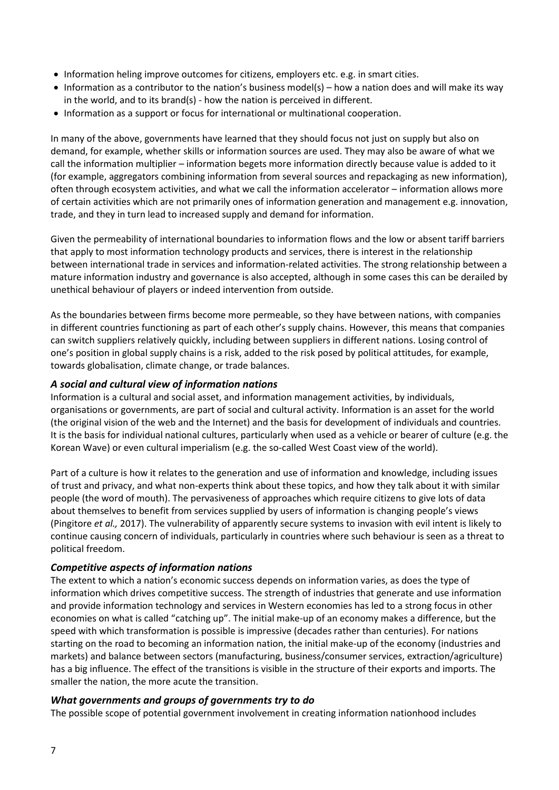- Information heling improve outcomes for citizens, employers etc. e.g. in smart cities.
- Information as a contributor to the nation's business model(s) how a nation does and will make its way in the world, and to its brand(s) - how the nation is perceived in different.
- Information as a support or focus for international or multinational cooperation.

In many of the above, governments have learned that they should focus not just on supply but also on demand, for example, whether skills or information sources are used. They may also be aware of what we call the information multiplier – information begets more information directly because value is added to it (for example, aggregators combining information from several sources and repackaging as new information), often through ecosystem activities, and what we call the information accelerator – information allows more of certain activities which are not primarily ones of information generation and management e.g. innovation, trade, and they in turn lead to increased supply and demand for information.

Given the permeability of international boundaries to information flows and the low or absent tariff barriers that apply to most information technology products and services, there is interest in the relationship between international trade in services and information-related activities. The strong relationship between a mature information industry and governance is also accepted, although in some cases this can be derailed by unethical behaviour of players or indeed intervention from outside.

As the boundaries between firms become more permeable, so they have between nations, with companies in different countries functioning as part of each other's supply chains. However, this means that companies can switch suppliers relatively quickly, including between suppliers in different nations. Losing control of one's position in global supply chains is a risk, added to the risk posed by political attitudes, for example, towards globalisation, climate change, or trade balances.

## *A social and cultural view of information nations*

Information is a cultural and social asset, and information management activities, by individuals, organisations or governments, are part of social and cultural activity. Information is an asset for the world (the original vision of the web and the Internet) and the basis for development of individuals and countries. It is the basis for individual national cultures, particularly when used as a vehicle or bearer of culture (e.g. the Korean Wave) or even cultural imperialism (e.g. the so-called West Coast view of the world).

Part of a culture is how it relates to the generation and use of information and knowledge, including issues of trust and privacy, and what non-experts think about these topics, and how they talk about it with similar people (the word of mouth). The pervasiveness of approaches which require citizens to give lots of data about themselves to benefit from services supplied by users of information is changing people's views (Pingitore *et al.,* 2017). The vulnerability of apparently secure systems to invasion with evil intent is likely to continue causing concern of individuals, particularly in countries where such behaviour is seen as a threat to political freedom.

## *Competitive aspects of information nations*

The extent to which a nation's economic success depends on information varies, as does the type of information which drives competitive success. The strength of industries that generate and use information and provide information technology and services in Western economies has led to a strong focus in other economies on what is called "catching up". The initial make-up of an economy makes a difference, but the speed with which transformation is possible is impressive (decades rather than centuries). For nations starting on the road to becoming an information nation, the initial make-up of the economy (industries and markets) and balance between sectors (manufacturing, business/consumer services, extraction/agriculture) has a big influence. The effect of the transitions is visible in the structure of their exports and imports. The smaller the nation, the more acute the transition.

#### *What governments and groups of governments try to do*

The possible scope of potential government involvement in creating information nationhood includes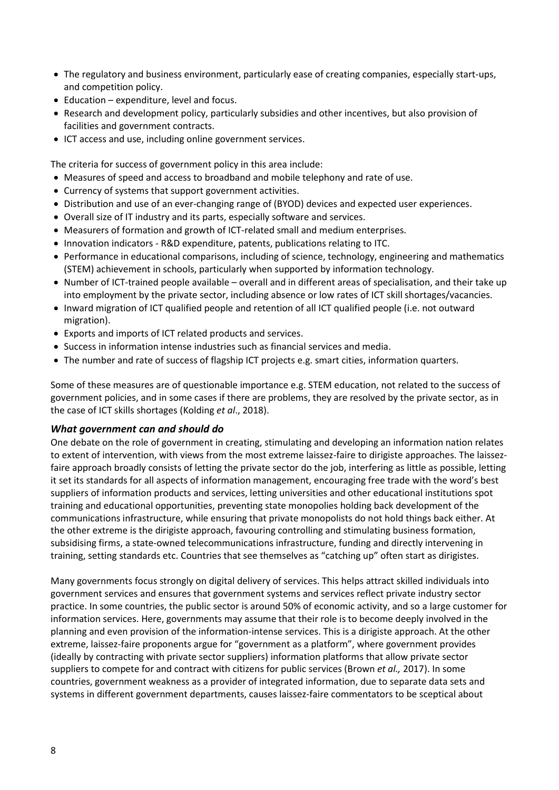- The regulatory and business environment, particularly ease of creating companies, especially start-ups, and competition policy.
- Education expenditure, level and focus.
- Research and development policy, particularly subsidies and other incentives, but also provision of facilities and government contracts.
- ICT access and use, including online government services.

The criteria for success of government policy in this area include:

- Measures of speed and access to broadband and mobile telephony and rate of use.
- Currency of systems that support government activities.
- Distribution and use of an ever-changing range of (BYOD) devices and expected user experiences.
- Overall size of IT industry and its parts, especially software and services.
- Measurers of formation and growth of ICT-related small and medium enterprises.
- Innovation indicators R&D expenditure, patents, publications relating to ITC.
- Performance in educational comparisons, including of science, technology, engineering and mathematics (STEM) achievement in schools, particularly when supported by information technology.
- Number of ICT-trained people available overall and in different areas of specialisation, and their take up into employment by the private sector, including absence or low rates of ICT skill shortages/vacancies.
- Inward migration of ICT qualified people and retention of all ICT qualified people (i.e. not outward migration).
- Exports and imports of ICT related products and services.
- Success in information intense industries such as financial services and media.
- The number and rate of success of flagship ICT projects e.g. smart cities, information quarters.

Some of these measures are of questionable importance e.g. STEM education, not related to the success of government policies, and in some cases if there are problems, they are resolved by the private sector, as in the case of ICT skills shortages (Kolding *et al*., 2018).

#### *What government can and should do*

One debate on the role of government in creating, stimulating and developing an information nation relates to extent of intervention, with views from the most extreme laissez-faire to dirigiste approaches. The laissezfaire approach broadly consists of letting the private sector do the job, interfering as little as possible, letting it set its standards for all aspects of information management, encouraging free trade with the word's best suppliers of information products and services, letting universities and other educational institutions spot training and educational opportunities, preventing state monopolies holding back development of the communications infrastructure, while ensuring that private monopolists do not hold things back either. At the other extreme is the dirigiste approach, favouring controlling and stimulating business formation, subsidising firms, a state-owned telecommunications infrastructure, funding and directly intervening in training, setting standards etc. Countries that see themselves as "catching up" often start as dirigistes.

Many governments focus strongly on digital delivery of services. This helps attract skilled individuals into government services and ensures that government systems and services reflect private industry sector practice. In some countries, the public sector is around 50% of economic activity, and so a large customer for information services. Here, governments may assume that their role is to become deeply involved in the planning and even provision of the information-intense services. This is a dirigiste approach. At the other extreme, laissez-faire proponents argue for "government as a platform", where government provides (ideally by contracting with private sector suppliers) information platforms that allow private sector suppliers to compete for and contract with citizens for public services (Brown *et al.,* 2017). In some countries, government weakness as a provider of integrated information, due to separate data sets and systems in different government departments, causes laissez-faire commentators to be sceptical about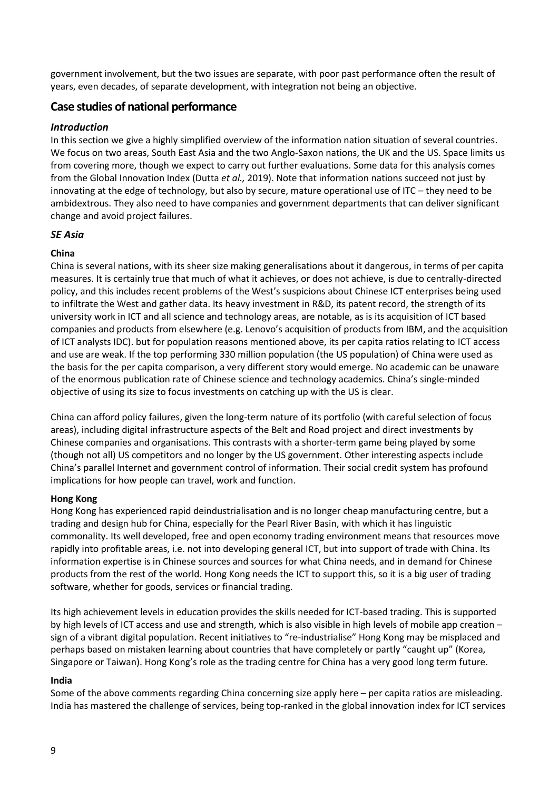government involvement, but the two issues are separate, with poor past performance often the result of years, even decades, of separate development, with integration not being an objective.

## **Case studies of national performance**

#### *Introduction*

In this section we give a highly simplified overview of the information nation situation of several countries. We focus on two areas, South East Asia and the two Anglo-Saxon nations, the UK and the US. Space limits us from covering more, though we expect to carry out further evaluations. Some data for this analysis comes from the Global Innovation Index (Dutta *et al.,* 2019). Note that information nations succeed not just by innovating at the edge of technology, but also by secure, mature operational use of ITC – they need to be ambidextrous. They also need to have companies and government departments that can deliver significant change and avoid project failures.

#### *SE Asia*

### **China**

China is several nations, with its sheer size making generalisations about it dangerous, in terms of per capita measures. It is certainly true that much of what it achieves, or does not achieve, is due to centrally-directed policy, and this includes recent problems of the West's suspicions about Chinese ICT enterprises being used to infiltrate the West and gather data. Its heavy investment in R&D, its patent record, the strength of its university work in ICT and all science and technology areas, are notable, as is its acquisition of ICT based companies and products from elsewhere (e.g. Lenovo's acquisition of products from IBM, and the acquisition of ICT analysts IDC). but for population reasons mentioned above, its per capita ratios relating to ICT access and use are weak. If the top performing 330 million population (the US population) of China were used as the basis for the per capita comparison, a very different story would emerge. No academic can be unaware of the enormous publication rate of Chinese science and technology academics. China's single-minded objective of using its size to focus investments on catching up with the US is clear.

China can afford policy failures, given the long-term nature of its portfolio (with careful selection of focus areas), including digital infrastructure aspects of the Belt and Road project and direct investments by Chinese companies and organisations. This contrasts with a shorter-term game being played by some (though not all) US competitors and no longer by the US government. Other interesting aspects include China's parallel Internet and government control of information. Their social credit system has profound implications for how people can travel, work and function.

#### **Hong Kong**

Hong Kong has experienced rapid deindustrialisation and is no longer cheap manufacturing centre, but a trading and design hub for China, especially for the Pearl River Basin, with which it has linguistic commonality. Its well developed, free and open economy trading environment means that resources move rapidly into profitable areas, i.e. not into developing general ICT, but into support of trade with China. Its information expertise is in Chinese sources and sources for what China needs, and in demand for Chinese products from the rest of the world. Hong Kong needs the ICT to support this, so it is a big user of trading software, whether for goods, services or financial trading.

Its high achievement levels in education provides the skills needed for ICT-based trading. This is supported by high levels of ICT access and use and strength, which is also visible in high levels of mobile app creation – sign of a vibrant digital population. Recent initiatives to "re-industrialise" Hong Kong may be misplaced and perhaps based on mistaken learning about countries that have completely or partly "caught up" (Korea, Singapore or Taiwan). Hong Kong's role as the trading centre for China has a very good long term future.

#### **India**

Some of the above comments regarding China concerning size apply here – per capita ratios are misleading. India has mastered the challenge of services, being top-ranked in the global innovation index for ICT services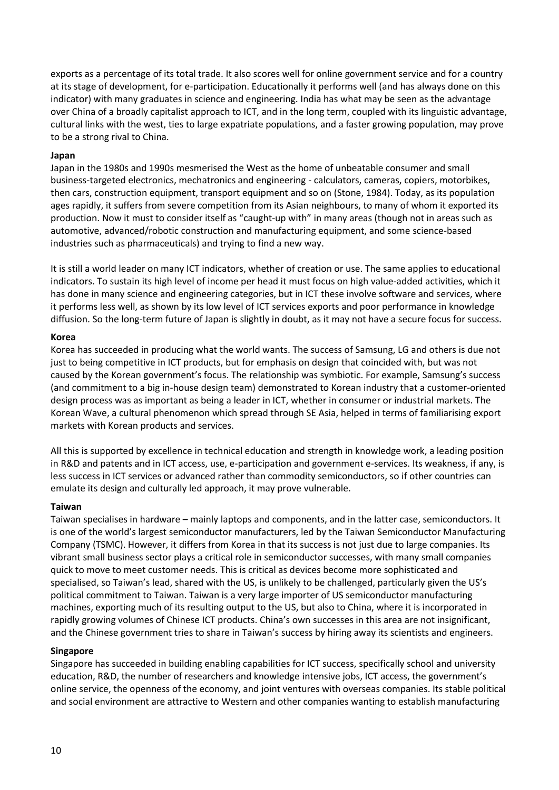exports as a percentage of its total trade. It also scores well for online government service and for a country at its stage of development, for e-participation. Educationally it performs well (and has always done on this indicator) with many graduates in science and engineering. India has what may be seen as the advantage over China of a broadly capitalist approach to ICT, and in the long term, coupled with its linguistic advantage, cultural links with the west, ties to large expatriate populations, and a faster growing population, may prove to be a strong rival to China.

#### **Japan**

Japan in the 1980s and 1990s mesmerised the West as the home of unbeatable consumer and small business-targeted electronics, mechatronics and engineering - calculators, cameras, copiers, motorbikes, then cars, construction equipment, transport equipment and so on (Stone, 1984). Today, as its population ages rapidly, it suffers from severe competition from its Asian neighbours, to many of whom it exported its production. Now it must to consider itself as "caught-up with" in many areas (though not in areas such as automotive, advanced/robotic construction and manufacturing equipment, and some science-based industries such as pharmaceuticals) and trying to find a new way.

It is still a world leader on many ICT indicators, whether of creation or use. The same applies to educational indicators. To sustain its high level of income per head it must focus on high value-added activities, which it has done in many science and engineering categories, but in ICT these involve software and services, where it performs less well, as shown by its low level of ICT services exports and poor performance in knowledge diffusion. So the long-term future of Japan is slightly in doubt, as it may not have a secure focus for success.

#### **Korea**

Korea has succeeded in producing what the world wants. The success of Samsung, LG and others is due not just to being competitive in ICT products, but for emphasis on design that coincided with, but was not caused by the Korean government's focus. The relationship was symbiotic. For example, Samsung's success (and commitment to a big in-house design team) demonstrated to Korean industry that a customer-oriented design process was as important as being a leader in ICT, whether in consumer or industrial markets. The Korean Wave, a cultural phenomenon which spread through SE Asia, helped in terms of familiarising export markets with Korean products and services.

All this is supported by excellence in technical education and strength in knowledge work, a leading position in R&D and patents and in ICT access, use, e-participation and government e-services. Its weakness, if any, is less success in ICT services or advanced rather than commodity semiconductors, so if other countries can emulate its design and culturally led approach, it may prove vulnerable.

#### **Taiwan**

Taiwan specialises in hardware – mainly laptops and components, and in the latter case, semiconductors. It is one of the world's largest semiconductor manufacturers, led by the Taiwan Semiconductor Manufacturing Company (TSMC). However, it differs from Korea in that its success is not just due to large companies. Its vibrant small business sector plays a critical role in semiconductor successes, with many small companies quick to move to meet customer needs. This is critical as devices become more sophisticated and specialised, so Taiwan's lead, shared with the US, is unlikely to be challenged, particularly given the US's political commitment to Taiwan. Taiwan is a very large importer of US semiconductor manufacturing machines, exporting much of its resulting output to the US, but also to China, where it is incorporated in rapidly growing volumes of Chinese ICT products. China's own successes in this area are not insignificant, and the Chinese government tries to share in Taiwan's success by hiring away its scientists and engineers.

#### **Singapore**

Singapore has succeeded in building enabling capabilities for ICT success, specifically school and university education, R&D, the number of researchers and knowledge intensive jobs, ICT access, the government's online service, the openness of the economy, and joint ventures with overseas companies. Its stable political and social environment are attractive to Western and other companies wanting to establish manufacturing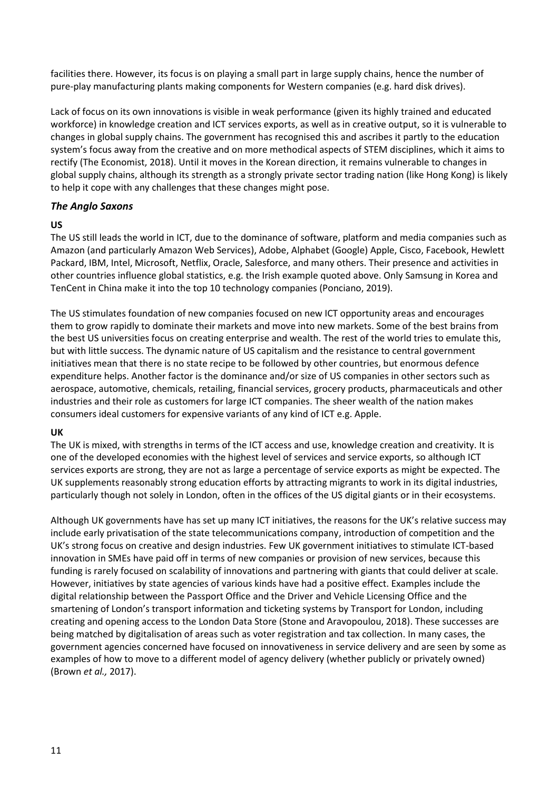facilities there. However, its focus is on playing a small part in large supply chains, hence the number of pure-play manufacturing plants making components for Western companies (e.g. hard disk drives).

Lack of focus on its own innovations is visible in weak performance (given its highly trained and educated workforce) in knowledge creation and ICT services exports, as well as in creative output, so it is vulnerable to changes in global supply chains. The government has recognised this and ascribes it partly to the education system's focus away from the creative and on more methodical aspects of STEM disciplines, which it aims to rectify (The Economist, 2018). Until it moves in the Korean direction, it remains vulnerable to changes in global supply chains, although its strength as a strongly private sector trading nation (like Hong Kong) is likely to help it cope with any challenges that these changes might pose.

### *The Anglo Saxons*

#### **US**

The US still leads the world in ICT, due to the dominance of software, platform and media companies such as Amazon (and particularly Amazon Web Services), Adobe, Alphabet (Google) Apple, Cisco, Facebook, Hewlett Packard, IBM, Intel, Microsoft, Netflix, Oracle, Salesforce, and many others. Their presence and activities in other countries influence global statistics, e.g. the Irish example quoted above. Only Samsung in Korea and TenCent in China make it into the top 10 technology companies (Ponciano, 2019).

The US stimulates foundation of new companies focused on new ICT opportunity areas and encourages them to grow rapidly to dominate their markets and move into new markets. Some of the best brains from the best US universities focus on creating enterprise and wealth. The rest of the world tries to emulate this, but with little success. The dynamic nature of US capitalism and the resistance to central government initiatives mean that there is no state recipe to be followed by other countries, but enormous defence expenditure helps. Another factor is the dominance and/or size of US companies in other sectors such as aerospace, automotive, chemicals, retailing, financial services, grocery products, pharmaceuticals and other industries and their role as customers for large ICT companies. The sheer wealth of the nation makes consumers ideal customers for expensive variants of any kind of ICT e.g. Apple.

#### **UK**

The UK is mixed, with strengths in terms of the ICT access and use, knowledge creation and creativity. It is one of the developed economies with the highest level of services and service exports, so although ICT services exports are strong, they are not as large a percentage of service exports as might be expected. The UK supplements reasonably strong education efforts by attracting migrants to work in its digital industries, particularly though not solely in London, often in the offices of the US digital giants or in their ecosystems.

Although UK governments have has set up many ICT initiatives, the reasons for the UK's relative success may include early privatisation of the state telecommunications company, introduction of competition and the UK's strong focus on creative and design industries. Few UK government initiatives to stimulate ICT-based innovation in SMEs have paid off in terms of new companies or provision of new services, because this funding is rarely focused on scalability of innovations and partnering with giants that could deliver at scale. However, initiatives by state agencies of various kinds have had a positive effect. Examples include the digital relationship between the Passport Office and the Driver and Vehicle Licensing Office and the smartening of London's transport information and ticketing systems by Transport for London, including creating and opening access to the London Data Store (Stone and Aravopoulou, 2018). These successes are being matched by digitalisation of areas such as voter registration and tax collection. In many cases, the government agencies concerned have focused on innovativeness in service delivery and are seen by some as examples of how to move to a different model of agency delivery (whether publicly or privately owned) (Brown *et al.,* 2017).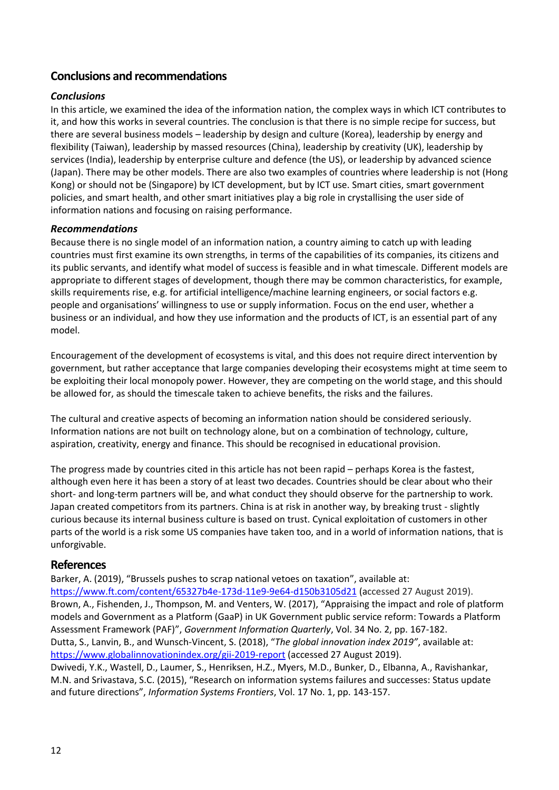## **Conclusions and recommendations**

### *Conclusions*

In this article, we examined the idea of the information nation, the complex ways in which ICT contributes to it, and how this works in several countries. The conclusion is that there is no simple recipe for success, but there are several business models – leadership by design and culture (Korea), leadership by energy and flexibility (Taiwan), leadership by massed resources (China), leadership by creativity (UK), leadership by services (India), leadership by enterprise culture and defence (the US), or leadership by advanced science (Japan). There may be other models. There are also two examples of countries where leadership is not (Hong Kong) or should not be (Singapore) by ICT development, but by ICT use. Smart cities, smart government policies, and smart health, and other smart initiatives play a big role in crystallising the user side of information nations and focusing on raising performance.

#### *Recommendations*

Because there is no single model of an information nation, a country aiming to catch up with leading countries must first examine its own strengths, in terms of the capabilities of its companies, its citizens and its public servants, and identify what model of success is feasible and in what timescale. Different models are appropriate to different stages of development, though there may be common characteristics, for example, skills requirements rise, e.g. for artificial intelligence/machine learning engineers, or social factors e.g. people and organisations' willingness to use or supply information. Focus on the end user, whether a business or an individual, and how they use information and the products of ICT, is an essential part of any model.

Encouragement of the development of ecosystems is vital, and this does not require direct intervention by government, but rather acceptance that large companies developing their ecosystems might at time seem to be exploiting their local monopoly power. However, they are competing on the world stage, and this should be allowed for, as should the timescale taken to achieve benefits, the risks and the failures.

The cultural and creative aspects of becoming an information nation should be considered seriously. Information nations are not built on technology alone, but on a combination of technology, culture, aspiration, creativity, energy and finance. This should be recognised in educational provision.

The progress made by countries cited in this article has not been rapid – perhaps Korea is the fastest, although even here it has been a story of at least two decades. Countries should be clear about who their short- and long-term partners will be, and what conduct they should observe for the partnership to work. Japan created competitors from its partners. China is at risk in another way, by breaking trust - slightly curious because its internal business culture is based on trust. Cynical exploitation of customers in other parts of the world is a risk some US companies have taken too, and in a world of information nations, that is unforgivable.

#### **References**

Barker, A. (2019), "Brussels pushes to scrap national vetoes on taxation", available at: <https://www.ft.com/content/65327b4e-173d-11e9-9e64-d150b3105d21> (accessed 27 August 2019). Brown, A., Fishenden, J., Thompson, M. and Venters, W. (2017), "Appraising the impact and role of platform models and Government as a Platform (GaaP) in UK Government public service reform: Towards a Platform Assessment Framework (PAF)", *Government Information Quarterly*, Vol. 34 No. 2, pp. 167-182. Dutta, S., Lanvin, B., and Wunsch-Vincent, S. (2018), "*The global innovation index 2019"*, available at: <https://www.globalinnovationindex.org/gii-2019-report> (accessed 27 August 2019). Dwivedi, Y.K., Wastell, D., Laumer, S., Henriksen, H.Z., Myers, M.D., Bunker, D., Elbanna, A., Ravishankar, M.N. and Srivastava, S.C. (2015), "Research on information systems failures and successes: Status update and future directions", *Information Systems Frontiers*, Vol. 17 No. 1, pp. 143-157.